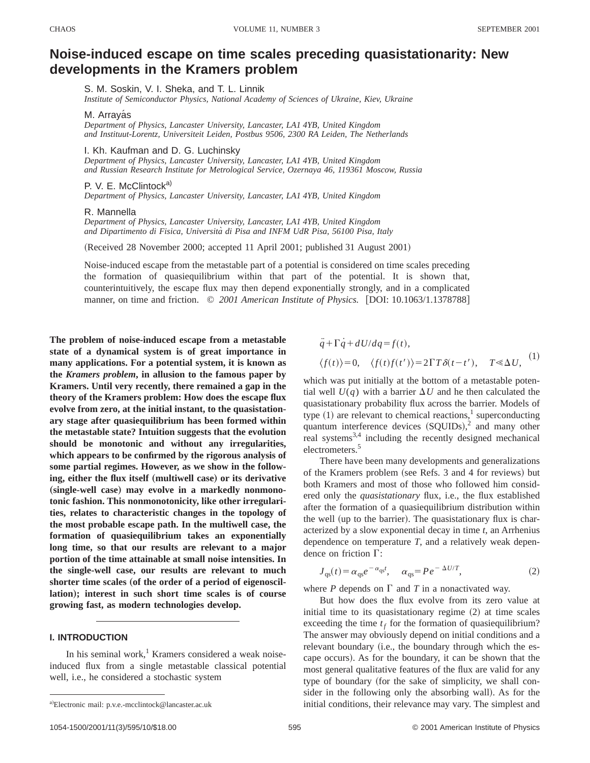# **Noise-induced escape on time scales preceding quasistationarity: New developments in the Kramers problem**

S. M. Soskin, V. I. Sheka, and T. L. Linnik

*Institute of Semiconductor Physics, National Academy of Sciences of Ukraine, Kiev, Ukraine*

M. Arravás

*Department of Physics, Lancaster University, Lancaster, LA1 4YB, United Kingdom and Instituut-Lorentz, Universiteit Leiden, Postbus 9506, 2300 RA Leiden, The Netherlands*

I. Kh. Kaufman and D. G. Luchinsky

*Department of Physics, Lancaster University, Lancaster, LA1 4YB, United Kingdom and Russian Research Institute for Metrological Service, Ozernaya 46, 119361 Moscow, Russia*

P. V. E. McClintock<sup>a)</sup>

*Department of Physics, Lancaster University, Lancaster, LA1 4YB, United Kingdom*

## R. Mannella

*Department of Physics, Lancaster University, Lancaster, LA1 4YB, United Kingdom and Dipartimento di Fisica, Universita` di Pisa and INFM UdR Pisa, 56100 Pisa, Italy*

(Received 28 November 2000; accepted 11 April 2001; published 31 August 2001)

Noise-induced escape from the metastable part of a potential is considered on time scales preceding the formation of quasiequilibrium within that part of the potential. It is shown that, counterintuitively, the escape flux may then depend exponentially strongly, and in a complicated manner, on time and friction.  $\degree$  2001 American Institute of Physics. [DOI: 10.1063/1.1378788]

**The problem of noise-induced escape from a metastable state of a dynamical system is of great importance in many applications. For a potential system, it is known as the** *Kramers problem***, in allusion to the famous paper by Kramers. Until very recently, there remained a gap in the theory of the Kramers problem: How does the escape flux evolve from zero, at the initial instant, to the quasistationary stage after quasiequilibrium has been formed within the metastable state? Intuition suggests that the evolution should be monotonic and without any irregularities, which appears to be confirmed by the rigorous analysis of some partial regimes. However, as we show in the follow-** $\mathbf{e}$  ing, either the flux itself (multiwell case) or its derivative (single-well case) may evolve in a markedly nonmono**tonic fashion. This nonmonotonicity, like other irregularities, relates to characteristic changes in the topology of the most probable escape path. In the multiwell case, the formation of quasiequilibrium takes an exponentially long time, so that our results are relevant to a major portion of the time attainable at small noise intensities. In the single-well case, our results are relevant to much** shorter time scales (of the order of a period of eigenoscillation); interest in such short time scales is of course **growing fast, as modern technologies develop.**

# **I. INTRODUCTION**

In his seminal work, $<sup>1</sup>$  Kramers considered a weak noise-</sup> induced flux from a single metastable classical potential well, i.e., he considered a stochastic system

$$
\ddot{q} + \Gamma \dot{q} + dU/dq = f(t),
$$
  

$$
\langle f(t) \rangle = 0, \quad \langle f(t)f(t') \rangle = 2\Gamma T \delta(t - t'), \quad T \ll \Delta U,
$$
 (1)

which was put initially at the bottom of a metastable potential well  $U(q)$  with a barrier  $\Delta U$  and he then calculated the quasistationary probability flux across the barrier. Models of type  $(1)$  are relevant to chemical reactions,<sup>1</sup> superconducting quantum interference devices  $(SQUIDs),<sup>2</sup>$  and many other real systems<sup>3,4</sup> including the recently designed mechanical electrometers.<sup>5</sup>

There have been many developments and generalizations of the Kramers problem (see Refs. 3 and 4 for reviews) but both Kramers and most of those who followed him considered only the *quasistationary* flux, i.e., the flux established after the formation of a quasiequilibrium distribution within the well (up to the barrier). The quasistationary flux is characterized by a slow exponential decay in time *t*, an Arrhenius dependence on temperature *T*, and a relatively weak dependence on friction  $\Gamma$ :

$$
J_{\rm qs}(t) = \alpha_{\rm qs} e^{-\alpha_{\rm qs} t}, \quad \alpha_{\rm qs} = P e^{-\Delta U/T}, \tag{2}
$$

where  $P$  depends on  $\Gamma$  and  $T$  in a nonactivated way.

But how does the flux evolve from its zero value at initial time to its quasistationary regime  $(2)$  at time scales exceeding the time  $t_f$  for the formation of quasiequilibrium? The answer may obviously depend on initial conditions and a relevant boundary (i.e., the boundary through which the escape occurs). As for the boundary, it can be shown that the most general qualitative features of the flux are valid for any type of boundary (for the sake of simplicity, we shall consider in the following only the absorbing wall). As for the initial conditions, their relevance may vary. The simplest and

a)Electronic mail: p.v.e.-mcclintock@lancaster.ac.uk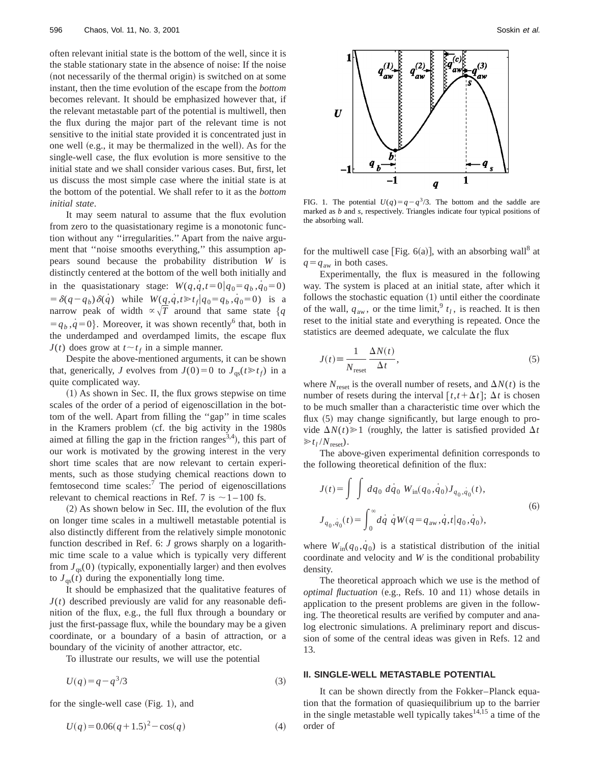often relevant initial state is the bottom of the well, since it is the stable stationary state in the absence of noise: If the noise (not necessarily of the thermal origin) is switched on at some instant, then the time evolution of the escape from the *bottom* becomes relevant. It should be emphasized however that, if the relevant metastable part of the potential is multiwell, then the flux during the major part of the relevant time is not sensitive to the initial state provided it is concentrated just in one well (e.g., it may be thermalized in the well). As for the single-well case, the flux evolution is more sensitive to the initial state and we shall consider various cases. But, first, let us discuss the most simple case where the initial state is at the bottom of the potential. We shall refer to it as the *bottom initial state*.

It may seem natural to assume that the flux evolution from zero to the quasistationary regime is a monotonic function without any ''irregularities.'' Apart from the naive argument that ''noise smooths everything,'' this assumption appears sound because the probability distribution *W* is distinctly centered at the bottom of the well both initially and in the quasistationary stage:  $W(q,q,t=0|q_0=q_b,q_0=0)$  $= \delta(q-q_b)\delta(q)$  while  $W(\underline{q},\underline{q},t) \geq t_f | q_0 = q_b, \underline{q_0} = 0)$  is a narrow peak of width  $\alpha \sqrt{T}$  around that same state  $\{q\}$  $\{g_i, g_i = 0\}$ . Moreover, it was shown recently<sup>6</sup> that, both in the underdamped and overdamped limits, the escape flux *J*(*t*) does grow at  $t \sim t_f$  in a simple manner.

Despite the above-mentioned arguments, it can be shown that, generically, *J* evolves from  $J(0)=0$  to  $J_{\text{qs}}(t \geq t_f)$  in a quite complicated way.

 $(1)$  As shown in Sec. II, the flux grows stepwise on time scales of the order of a period of eigenoscillation in the bottom of the well. Apart from filling the ''gap'' in time scales in the Kramers problem (cf. the big activity in the 1980s aimed at filling the gap in the friction ranges<sup>3,4</sup>), this part of our work is motivated by the growing interest in the very short time scales that are now relevant to certain experiments, such as those studying chemical reactions down to femtosecond time scales: $7$  The period of eigenoscillations relevant to chemical reactions in Ref. 7 is  $\sim$  1 – 100 fs.

 $(2)$  As shown below in Sec. III, the evolution of the flux on longer time scales in a multiwell metastable potential is also distinctly different from the relatively simple monotonic function described in Ref. 6: *J* grows sharply on a logarithmic time scale to a value which is typically very different from  $J_{\text{qs}}(0)$  (typically, exponentially larger) and then evolves to  $J_{\text{qs}}(t)$  during the exponentially long time.

It should be emphasized that the qualitative features of  $J(t)$  described previously are valid for any reasonable definition of the flux, e.g., the full flux through a boundary or just the first-passage flux, while the boundary may be a given coordinate, or a boundary of a basin of attraction, or a boundary of the vicinity of another attractor, etc.

To illustrate our results, we will use the potential

$$
U(q) = q - q^3/3\tag{3}
$$

for the single-well case  $(Fig. 1)$ , and

$$
U(q) = 0.06(q+1.5)^2 - \cos(q)
$$
 (4)



FIG. 1. The potential  $U(q) = q - q^3/3$ . The bottom and the saddle are marked as *b* and *s*, respectively. Triangles indicate four typical positions of the absorbing wall.

for the multiwell case [Fig.  $6(a)$ ], with an absorbing wall<sup>8</sup> at  $q = q_{\text{aw}}$  in both cases.

Experimentally, the flux is measured in the following way. The system is placed at an initial state, after which it follows the stochastic equation  $(1)$  until either the coordinate of the wall,  $q_{aw}$ , or the time limit,  $t_l$ , is reached. It is then reset to the initial state and everything is repeated. Once the statistics are deemed adequate, we calculate the flux

$$
J(t) \equiv \frac{1}{N_{\text{reset}}} \frac{\Delta N(t)}{\Delta t},\tag{5}
$$

where  $N_{\text{reset}}$  is the overall number of resets, and  $\Delta N(t)$  is the number of resets during the interval  $[t, t + \Delta t]$ ;  $\Delta t$  is chosen to be much smaller than a characteristic time over which the flux  $(5)$  may change significantly, but large enough to provide  $\Delta N(t) \ge 1$  (roughly, the latter is satisfied provided  $\Delta t$  $\gg t_I/N_{\text{reset}}$ ).

The above-given experimental definition corresponds to the following theoretical definition of the flux:

$$
J(t) = \int \int dq_0 dq_0 W_{\rm in}(q_0, \dot{q}_0) J_{q_0, \dot{q}_0}(t),
$$
  

$$
J_{q_0, \dot{q}_0}(t) = \int_0^\infty dq \dot{q} W(q = q_{\rm aw}, \dot{q}, t | q_0, \dot{q}_0),
$$
 (6)

where  $W_{\text{in}}(q_0, \dot{q}_0)$  is a statistical distribution of the initial coordinate and velocity and *W* is the conditional probability density.

The theoretical approach which we use is the method of *optimal fluctuation* (e.g., Refs. 10 and 11) whose details in application to the present problems are given in the following. The theoretical results are verified by computer and analog electronic simulations. A preliminary report and discussion of some of the central ideas was given in Refs. 12 and 13.

## **II. SINGLE-WELL METASTABLE POTENTIAL**

It can be shown directly from the Fokker–Planck equation that the formation of quasiequilibrium up to the barrier in the single metastable well typically takes $14,15$  a time of the order of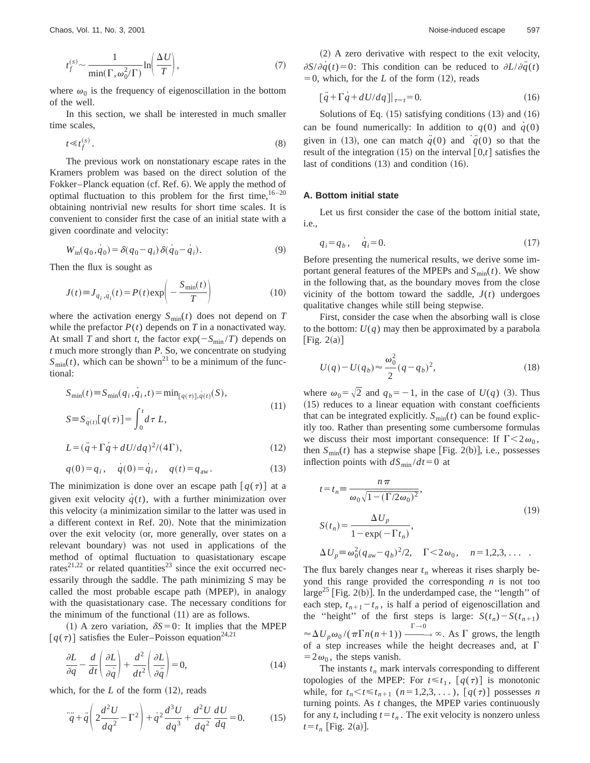$$
t_f^{(s)} \sim \frac{1}{\min(\Gamma, \omega_0^2/\Gamma)} \ln\left(\frac{\Delta U}{T}\right),\tag{7}
$$

where  $\omega_0$  is the frequency of eigenoscillation in the bottom of the well.

In this section, we shall be interested in much smaller time scales,

$$
t \ll t_f^{(s)}.
$$
\n<sup>(8)</sup>

The previous work on nonstationary escape rates in the Kramers problem was based on the direct solution of the Fokker–Planck equation (cf. Ref. 6). We apply the method of optimal fluctuation to this problem for the first time,  $16-20$ obtaining nontrivial new results for short time scales. It is convenient to consider first the case of an initial state with a given coordinate and velocity:

$$
W_{\text{in}}(q_0, q_0) = \delta(q_0 - q_i) \,\delta(q_0 - q_i). \tag{9}
$$

Then the flux is sought as

$$
J(t) \equiv J_{q_i, \dot{q}_i}(t) = P(t) \exp\left(-\frac{S_{\min}(t)}{T}\right)
$$
 (10)

where the activation energy  $S_{\text{min}}(t)$  does not depend on *T* while the prefactor  $P(t)$  depends on  $T$  in a nonactivated way. At small *T* and short *t*, the factor  $\exp(-S_{\min}/T)$  depends on *t* much more strongly than *P*. So, we concentrate on studying  $S_{\text{min}}(t)$ , which can be shown<sup>21</sup> to be a minimum of the functional:

$$
S_{\min}(t) \equiv S_{\min}(q_i, \dot{q}_i, t) = \min_{[q(\tau)], q(t)}(S),
$$
  
\n
$$
S \equiv S_{\dot{q}(t)}[q(\tau)] = \int_0^t d\tau L,
$$
\n(11)

$$
L = (\ddot{q} + \Gamma \dot{q} + dU/dq)^2/(4\Gamma),\tag{12}
$$

$$
q(0) = q_i, \quad \dot{q}(0) = \dot{q}_i, \quad q(t) = q_{aw}.
$$
 (13)

The minimization is done over an escape path  $[q(\tau)]$  at a given exit velocity  $q(t)$ , with a further minimization over this velocity (a minimization similar to the latter was used in a different context in Ref. 20). Note that the minimization over the exit velocity (or, more generally, over states on a relevant boundary) was not used in applications of the method of optimal fluctuation to quasistationary escape rates<sup>21,22</sup> or related quantities<sup>23</sup> since the exit occurred necessarily through the saddle. The path minimizing *S* may be called the most probable escape path (MPEP), in analogy with the quasistationary case. The necessary conditions for the minimum of the functional  $(11)$  are as follows.

 $(1)$  A zero variation,  $\delta S = 0$ : It implies that the MPEP  $[q(\tau)]$  satisfies the Euler–Poisson equation<sup>24,21</sup>

$$
\frac{\partial L}{\partial q} - \frac{d}{dt} \left( \frac{\partial L}{\partial \dot{q}} \right) + \frac{d^2}{dt^2} \left( \frac{\partial L}{\partial \ddot{q}} \right) = 0,\tag{14}
$$

which, for the  $L$  of the form  $(12)$ , reads

$$
\dddot{q} + \ddot{q} \left( 2\frac{d^2U}{dq^2} - \Gamma^2 \right) + \dot{q}^2 \frac{d^3U}{dq^3} + \frac{d^2U}{dq^2} \frac{dU}{dq} = 0.
$$
 (15)

 $(2)$  A zero derivative with respect to the exit velocity,  $\partial S/\partial q(t) = 0$ : This condition can be reduced to  $\partial L/\partial \ddot{q}(t)$  $= 0$ , which, for the *L* of the form  $(12)$ , reads

$$
\left[\ddot{q} + \Gamma \dot{q} + dU/dq\right]|_{\tau=t} = 0. \tag{16}
$$

Solutions of Eq.  $(15)$  satisfying conditions  $(13)$  and  $(16)$ can be found numerically: In addition to  $q(0)$  and  $q(0)$ given in (13), one can match  $\ddot{q}(0)$  and  $\dddot{q}(0)$  so that the result of the integration  $(15)$  on the interval  $[0,t]$  satisfies the last of conditions  $(13)$  and condition  $(16)$ .

## **A. Bottom initial state**

Let us first consider the case of the bottom initial state, i.e.,

$$
q_i = q_b, \quad \dot{q}_i = 0. \tag{17}
$$

Before presenting the numerical results, we derive some important general features of the MPEPs and  $S_{\text{min}}(t)$ . We show in the following that, as the boundary moves from the close vicinity of the bottom toward the saddle,  $J(t)$  undergoes qualitative changes while still being stepwise.

First, consider the case when the absorbing wall is close to the bottom:  $U(q)$  may then be approximated by a parabola [Fig.  $2(a)$ ]

$$
U(q) - U(q_b) \approx \frac{\omega_0^2}{2} (q - q_b)^2,
$$
\n(18)

where  $\omega_0 = \sqrt{2}$  and  $q_b = -1$ , in the case of  $U(q)$  (3). Thus  $(15)$  reduces to a linear equation with constant coefficients that can be integrated explicitly.  $S_{min}(t)$  can be found explicitly too. Rather than presenting some cumbersome formulas we discuss their most important consequence: If  $\Gamma < 2\omega_0$ , then  $S_{\text{min}}(t)$  has a stepwise shape [Fig. 2(b)], i.e., possesses inflection points with  $dS_{\text{min}}/dt=0$  at

$$
t = t_n \equiv \frac{n\pi}{\omega_0 \sqrt{1 - (\Gamma/2\omega_0)^2}},
$$
  
\n
$$
S(t_n) = \frac{\Delta U_p}{1 - \exp(-\Gamma t_n)},
$$
  
\n
$$
\Delta U_p \equiv \omega_0^2 (q_{aw} - q_b)^2 / 2, \quad \Gamma < 2\omega_0, \quad n = 1, 2, 3, ...
$$
 (19)

The flux barely changes near  $t_n$  whereas it rises sharply beyond this range provided the corresponding *n* is not too large<sup>25</sup> [Fig. 2(b)]. In the underdamped case, the "length" of each step,  $t_{n+1}-t_n$ , is half a period of eigenoscillation and the "height" of the first steps is large:  $S(t_n) - S(t_{n+1})$  $\approx \Delta U_p \omega_0 / (\pi \Gamma n(n+1)) \xrightarrow{\Gamma \to 0} \infty$ . As  $\Gamma$  grows, the length of a step increases while the height decreases and, at  $\Gamma$  $=2\omega_0$ , the steps vanish.

The instants  $t_n$  mark intervals corresponding to different topologies of the MPEP: For  $t \leq t_1$ ,  $[q(\tau)]$  is monotonic while, for  $t_n < t \le t_{n+1}$   $(n=1,2,3,...)$ ,  $[q(\tau)]$  possesses *n* turning points. As *t* changes, the MPEP varies continuously for any *t*, including  $t = t_n$ . The exit velocity is nonzero unless  $t = t_n$  | Fig. 2(a) |.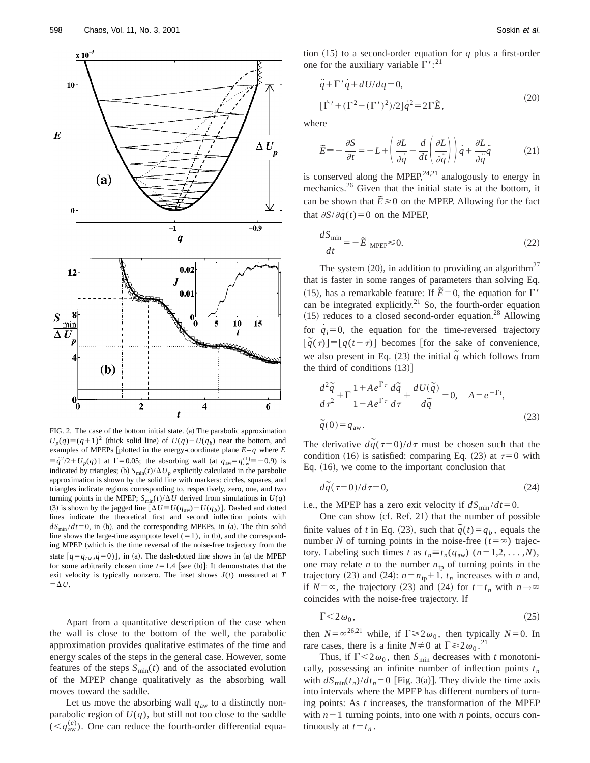

FIG. 2. The case of the bottom initial state. (a) The parabolic approximation  $U_p(q) \equiv (q+1)^2$  (thick solid line) of  $U(q) - U(q_p)$  near the bottom, and examples of MPEPs [plotted in the energy-coordinate plane  $E-q$  where  $E$  $\equiv \dot{q}^2/2 + U_p(q)$ ] at  $\Gamma = 0.05$ ; the absorbing wall (at  $q_{aw} = q_{aw}^{(1)} = -0.9$ ) is indicated by triangles; (b)  $S_{min}(t)/\Delta U_p$  explicitly calculated in the parabolic approximation is shown by the solid line with markers: circles, squares, and triangles indicate regions corresponding to, respectively, zero, one, and two turning points in the MPEP;  $S_{\text{min}}(t)/\Delta U$  derived from simulations in  $U(q)$ (3) is shown by the jagged line  $\left[\Delta U \equiv U(q_{aw}) - U(q_b)\right]$ . Dashed and dotted lines indicate the theoretical first and second inflection points with  $dS<sub>min</sub>/dt=0$ , in (b), and the corresponding MPEPs, in (a). The thin solid line shows the large-time asymptote level  $(=1)$ , in  $(b)$ , and the corresponding MPEP (which is the time reversal of the noise-free trajectory from the state  $[q = q_{aw}, q = 0)]$ , in (a). The dash-dotted line shows in (a) the MPEP for some arbitrarily chosen time  $t=1.4$  [see (b)]: It demonstrates that the exit velocity is typically nonzero. The inset shows  $J(t)$  measured at  $T$  $=\Delta U$ .

Apart from a quantitative description of the case when the wall is close to the bottom of the well, the parabolic approximation provides qualitative estimates of the time and energy scales of the steps in the general case. However, some features of the steps  $S_{\text{min}}(t)$  and of the associated evolution of the MPEP change qualitatively as the absorbing wall moves toward the saddle.

Let us move the absorbing wall  $q_{aw}$  to a distinctly nonparabolic region of  $U(q)$ , but still not too close to the saddle  $(. One can reduce the fourth-order differential equa-$  tion  $(15)$  to a second-order equation for *q* plus a first-order one for the auxiliary variable  $\Gamma$ ':<sup>21</sup>

$$
\ddot{q} + \Gamma' \dot{q} + dU/dq = 0,
$$
  
\n
$$
[\dot{\Gamma}' + (\Gamma^2 - (\Gamma')^2)/2] \dot{q}^2 = 2\Gamma \tilde{E},
$$
\n(20)

where

$$
\widetilde{E} = -\frac{\partial S}{\partial t} = -L + \left(\frac{\partial L}{\partial \dot{q}} - \frac{d}{dt} \left(\frac{\partial L}{\partial \ddot{q}}\right)\right) \dot{q} + \frac{\partial L}{\partial \ddot{q}} \ddot{q} \tag{21}
$$

is conserved along the MPEP,  $24,21$  analogously to energy in mechanics.<sup>26</sup> Given that the initial state is at the bottom, it can be shown that  $\vec{E} \ge 0$  on the MPEP. Allowing for the fact that  $\partial S/\partial \dot{q}(t)=0$  on the MPEP,

$$
\frac{dS_{\min}}{dt} = -\tilde{E}|_{\text{MPEP}} \le 0. \tag{22}
$$

The system  $(20)$ , in addition to providing an algorithm<sup>27</sup> that is faster in some ranges of parameters than solving Eq. (15), has a remarkable feature: If  $\tilde{E} = 0$ , the equation for  $\Gamma'$ can be integrated explicitly.<sup>21</sup> So, the fourth-order equation  $(15)$  reduces to a closed second-order equation.<sup>28</sup> Allowing for  $q_i=0$ , the equation for the time-reversed trajectory  $[\tilde{q}(\tau)] = [q(t-\tau)]$  becomes [for the sake of convenience, we also present in Eq. (23) the initial  $\tilde{q}$  which follows from the third of conditions  $(13)$ ]

$$
\frac{d^2\tilde{q}}{d\tau^2} + \Gamma \frac{1 + Ae^{\Gamma\tau}}{1 - Ae^{\Gamma\tau}} \frac{d\tilde{q}}{d\tau} + \frac{dU(\tilde{q})}{d\tilde{q}} = 0, \quad A = e^{-\Gamma t},
$$
\n
$$
\tilde{q}(0) = q_{\text{aw}}.
$$
\n(23)

The derivative  $d\tilde{q}(\tau=0)/d\tau$  must be chosen such that the condition (16) is satisfied: comparing Eq. (23) at  $\tau=0$  with Eq.  $(16)$ , we come to the important conclusion that

$$
d\tilde{q}(\tau=0)/d\tau=0,
$$
\n(24)

i.e., the MPEP has a zero exit velocity if  $dS_{\text{min}}/dt=0$ .

One can show  $(cf. Ref. 21)$  that the number of possible finite values of *t* in Eq. (23), such that  $\tilde{q}(t) = q_b$ , equals the number *N* of turning points in the noise-free ( $t = \infty$ ) trajectory. Labeling such times *t* as  $t_n \equiv t_n(q_{aw})$  ( $n = 1,2, \ldots, N$ ), one may relate *n* to the number  $n_{tp}$  of turning points in the trajectory (23) and (24):  $n = n_{\text{tp}} + 1$ .  $t_n$  increases with *n* and, if  $N = \infty$ , the trajectory (23) and (24) for  $t = t_n$  with  $n \to \infty$ coincides with the noise-free trajectory. If

$$
\Gamma \le 2\,\omega_0,\tag{25}
$$

then  $N=\infty^{26,21}$  while, if  $\Gamma \ge 2\omega_0$ , then typically  $N=0$ . In rare cases, there is a finite  $N \neq 0$  at  $\Gamma \ge 2\omega_0$ .<sup>21</sup>

Thus, if  $\Gamma < 2\omega_0$ , then  $S_{\text{min}}$  decreases with *t* monotonically, possessing an infinite number of inflection points  $t_n$ with  $dS_{\text{min}}(t_n)/dt_n=0$  [Fig. 3(a)]. They divide the time axis into intervals where the MPEP has different numbers of turning points: As *t* increases, the transformation of the MPEP with  $n-1$  turning points, into one with *n* points, occurs continuously at  $t=t_n$ .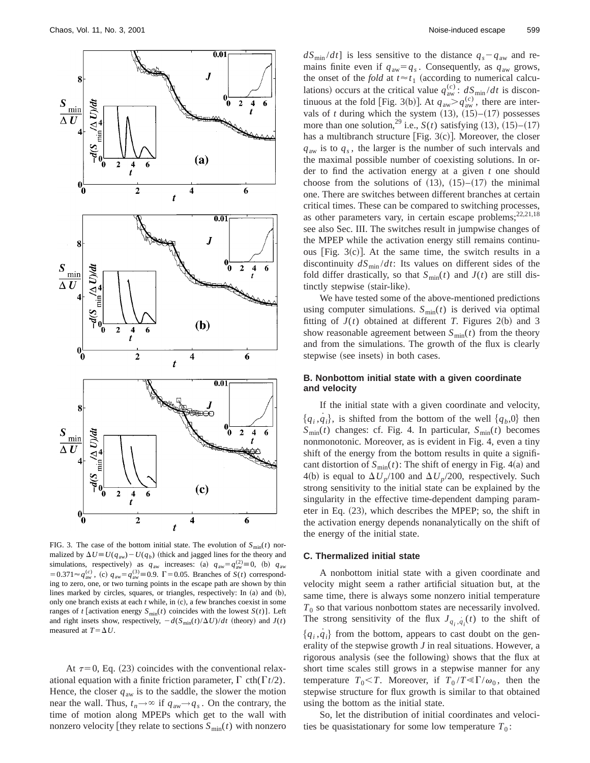

FIG. 3. The case of the bottom initial state. The evolution of  $S_{\text{min}}(t)$  normalized by  $\Delta U \equiv U(q_{aw}) - U(q_b)$  (thick and jagged lines for the theory and simulations, respectively) as  $q_{aw}$  increases: (a)  $q_{aw} = q_{aw}^{(2)} \equiv 0$ , (b)  $q_{aw}$  $=0.371 \approx q_{\text{aw}}^{(c)}$ , (c)  $q_{\text{aw}} = q_{\text{aw}}^{(3)} = 0.9$ .  $\Gamma = 0.05$ . Branches of *S*(*t*) corresponding to zero, one, or two turning points in the escape path are shown by thin lines marked by circles, squares, or triangles, respectively: In  $(a)$  and  $(b)$ , only one branch exists at each *t* while, in (c), a few branches coexist in some ranges of *t* [activation energy  $S_{\text{min}}(t)$  coincides with the lowest  $S(t)$ ]. Left and right insets show, respectively,  $-d(S_{min}(t)/\Delta U)/dt$  (theory) and  $J(t)$ measured at  $T = \Delta U$ .

At  $\tau=0$ , Eq. (23) coincides with the conventional relaxational equation with a finite friction parameter,  $\Gamma$  cth( $\Gamma t/2$ ). Hence, the closer  $q_{aw}$  is to the saddle, the slower the motion near the wall. Thus,  $t_n \rightarrow \infty$  if  $q_{aw} \rightarrow q_s$ . On the contrary, the time of motion along MPEPs which get to the wall with nonzero velocity they relate to sections  $S_{\text{min}}(t)$  with nonzero  $dS<sub>min</sub>/dt$  is less sensitive to the distance  $q_s - q_{aw}$  and remains finite even if  $q_{aw} = q_s$ . Consequently, as  $q_{aw}$  grows, the onset of the *fold* at  $t \approx t_1$  (according to numerical calculations) occurs at the critical value  $q_{aw}^{(c)}$ :  $dS_{min}/dt$  is discontinuous at the fold [Fig. 3(b)]. At  $q_{aw} > q_{aw}^{(c)}$ , there are intervals of *t* during which the system  $(13)$ ,  $(15)–(17)$  possesses more than one solution, <sup>29</sup> i.e., *S*(*t*) satisfying (13), (15)–(17) has a multibranch structure [Fig.  $3(c)$ ]. Moreover, the closer  $q_{aw}$  is to  $q_s$ , the larger is the number of such intervals and the maximal possible number of coexisting solutions. In order to find the activation energy at a given *t* one should choose from the solutions of  $(13)$ ,  $(15)$ – $(17)$  the minimal one. There are switches between different branches at certain critical times. These can be compared to switching processes, as other parameters vary, in certain escape problems;<sup>22,21,18</sup> see also Sec. III. The switches result in jumpwise changes of the MPEP while the activation energy still remains continuous [Fig.  $3(c)$ ]. At the same time, the switch results in a discontinuity  $dS<sub>min</sub>/dt$ : Its values on different sides of the fold differ drastically, so that  $S_{\text{min}}(t)$  and  $J(t)$  are still distinctly stepwise (stair-like).

We have tested some of the above-mentioned predictions using computer simulations.  $S_{\text{min}}(t)$  is derived via optimal fitting of  $J(t)$  obtained at different *T*. Figures 2(b) and 3 show reasonable agreement between  $S_{\text{min}}(t)$  from the theory and from the simulations. The growth of the flux is clearly stepwise (see insets) in both cases.

# **B. Nonbottom initial state with a given coordinate and velocity**

If the initial state with a given coordinate and velocity,  ${q_i, \dot{q_i}}$ , is shifted from the bottom of the well  ${q_b, 0}$  then  $S_{\text{min}}(t)$  changes: cf. Fig. 4. In particular,  $S_{\text{min}}(t)$  becomes nonmonotonic. Moreover, as is evident in Fig. 4, even a tiny shift of the energy from the bottom results in quite a significant distortion of  $S_{\text{min}}(t)$ : The shift of energy in Fig. 4(a) and 4(b) is equal to  $\Delta U_p/100$  and  $\Delta U_p/200$ , respectively. Such strong sensitivity to the initial state can be explained by the singularity in the effective time-dependent damping parameter in Eq.  $(23)$ , which describes the MPEP; so, the shift in the activation energy depends nonanalytically on the shift of the energy of the initial state.

# **C. Thermalized initial state**

A nonbottom initial state with a given coordinate and velocity might seem a rather artificial situation but, at the same time, there is always some nonzero initial temperature  $T_0$  so that various nonbottom states are necessarily involved. The strong sensitivity of the flux  $J_{q_i, q_i}(t)$  to the shift of  ${q_i, q_i}$  from the bottom, appears to cast doubt on the generality of the stepwise growth *J* in real situations. However, a rigorous analysis (see the following) shows that the flux at short time scales still grows in a stepwise manner for any temperature  $T_0 < T$ . Moreover, if  $T_0/T \ll \Gamma/\omega_0$ , then the stepwise structure for flux growth is similar to that obtained using the bottom as the initial state.

So, let the distribution of initial coordinates and velocities be quasistationary for some low temperature  $T_0$ :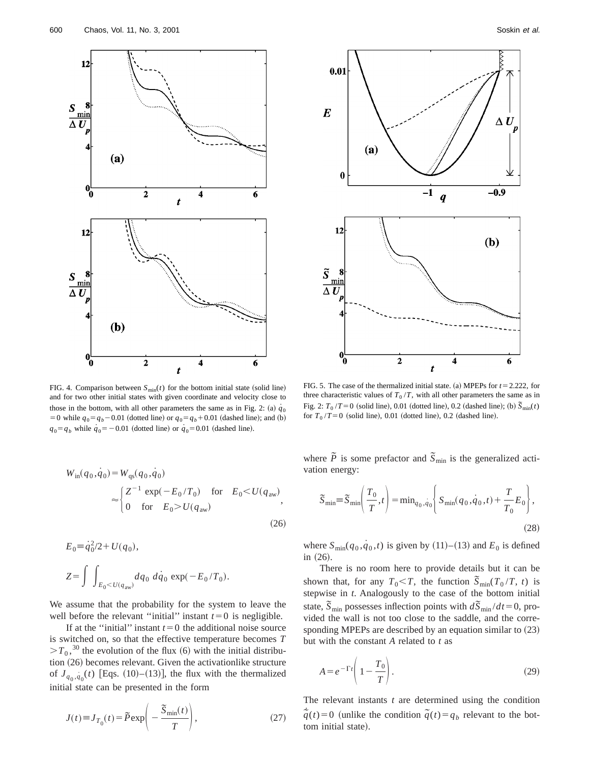

FIG. 4. Comparison between  $S_{\text{min}}(t)$  for the bottom initial state (solid line) and for two other initial states with given coordinate and velocity close to those in the bottom, with all other parameters the same as in Fig. 2: (a)  $q<sub>0</sub>$ =0 while  $q_0 = q_b - 0.01$  (dotted line) or  $q_0 = q_b + 0.01$  (dashed line); and (b)  $q_0 = q_b$  while  $q_0 = -0.01$  (dotted line) or  $q_0 = 0.01$  (dashed line).

$$
W_{\rm in}(q_0, \dot{q}_0) = W_{\rm qs}(q_0, \dot{q}_0)
$$
  
\n
$$
\approx \begin{cases} Z^{-1} \exp(-E_0/T_0) & \text{for} \quad E_0 < U(q_{\rm aw}) \\ 0 & \text{for} \quad E_0 > U(q_{\rm aw}) \end{cases}
$$
 (26)

$$
E_0 = \dot{q}_0^2/2 + U(q_0),
$$
  
\n
$$
Z = \int \int_{E_0 < U(q_{aw})} dq_0 \, dq_0 \, \exp(-E_0/T_0).
$$

We assume that the probability for the system to leave the well before the relevant "initial" instant  $t=0$  is negligible.

If at the "initial" instant  $t=0$  the additional noise source is switched on, so that the effective temperature becomes *T*  $>T_0$ ,<sup>30</sup> the evolution of the flux (6) with the initial distribu $t$ tion  $(26)$  becomes relevant. Given the activationlike structure of  $J_{q_0, \dot{q}_0}(t)$  [Eqs. (10)–(13)], the flux with the thermalized initial state can be presented in the form

$$
J(t) \equiv J_{T_0}(t) = \tilde{P} \exp\left(-\frac{\tilde{S}_{\min}(t)}{T}\right),\tag{27}
$$



FIG. 5. The case of the thermalized initial state. (a) MPEPs for  $t = 2.222$ , for three characteristic values of  $T_0/T$ , with all other parameters the same as in Fig. 2:  $T_0/T=0$  (solid line), 0.01 (dotted line), 0.2 (dashed line); (b)  $\tilde{S}_{min}(t)$ for  $T_0/T=0$  (solid line), 0.01 (dotted line), 0.2 (dashed line).

where  $\tilde{P}$  is some prefactor and  $\tilde{S}_{min}$  is the generalized activation energy:

$$
\widetilde{S}_{\min} = \widetilde{S}_{\min} \left( \frac{T_0}{T}, t \right) = \min_{q_0, \dot{q}_0} \left\{ S_{\min}(q_0, \dot{q}_0, t) + \frac{T}{T_0} E_0 \right\},\tag{28}
$$

where  $S_{\text{min}}(q_0, \dot{q}_0, t)$  is given by (11)–(13) and  $E_0$  is defined in  $(26)$ .

There is no room here to provide details but it can be shown that, for any  $T_0 < T$ , the function  $\tilde{S}_{min}(T_0/T, t)$  is stepwise in *t*. Analogously to the case of the bottom initial state,  $\overline{S}_{min}$  possesses inflection points with  $d\overline{S}_{min}/dt=0$ , provided the wall is not too close to the saddle, and the corresponding MPEPs are described by an equation similar to  $(23)$ but with the constant *A* related to *t* as

$$
A = e^{-\Gamma t} \left( 1 - \frac{T_0}{T} \right). \tag{29}
$$

The relevant instants *t* are determined using the condition  $\tilde{\tilde{q}}(t) = 0$  (unlike the condition  $\tilde{q}(t) = q_b$  relevant to the bottom initial state).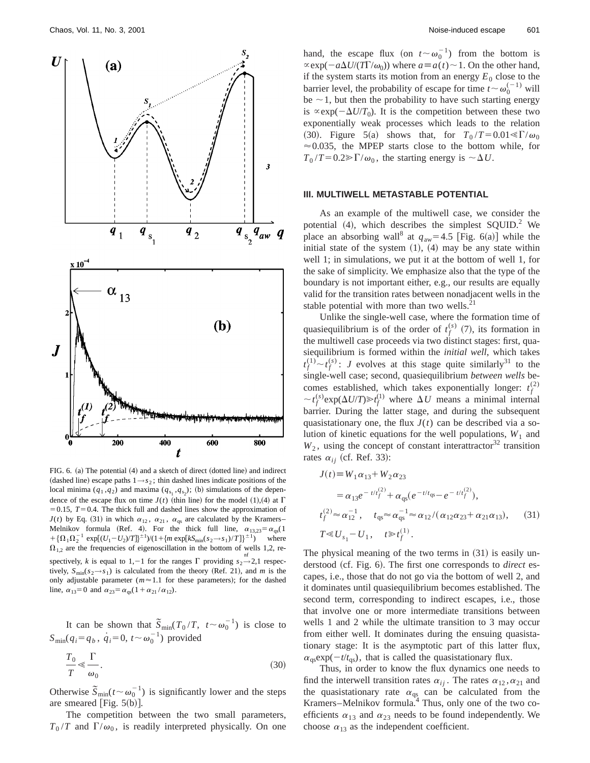

FIG.  $6.$  (a) The potential  $(4)$  and a sketch of direct (dotted line) and indirect (dashed line) escape paths  $1 \rightarrow s_2$ ; thin dashed lines indicate positions of the local minima  $(q_1, q_2)$  and maxima  $(q_{s_1}, q_{s_2})$ ; (b) simulations of the dependence of the escape flux on time  $J(t)$  (thin line) for the model (1),(4) at  $\Gamma$  $=0.15$ ,  $T=0.4$ . The thick full and dashed lines show the approximation of  $J(t)$  by Eq. (31) in which  $\alpha_{12}$ ,  $\alpha_{21}$ ,  $\alpha_{qs}$  are calculated by the Kramers– Melnikov formula (Ref. 4). For the thick full line,  $\alpha_{13,23} = \alpha_{as}(1)$  $+\{\Omega_1 \Omega_2^{-1} \exp[(U_1-U_2)/T]\}^{\pm 1} / (1 + \{m \exp[kS_{min}(s_2 \rightarrow s_1)/T]\}^{\pm 1})$  where  $\Omega_{1,2}$  are the frequencies of eigenoscillation in the bottom of wells 1,2, respectively, *k* is equal to 1, -1 for the ranges  $\Gamma$  providing  $s_2 \rightarrow 2,1$  respectively,  $S_{\text{min}}(s_2 \rightarrow s_1)$  is calculated from the theory (Ref. 21), and *m* is the only adjustable parameter ( $m \approx 1.1$  for these parameters); for the dashed line,  $\alpha_{13} = 0$  and  $\alpha_{23} = \alpha_{as}(1 + \alpha_{21} / \alpha_{12})$ .

It can be shown that  $\tilde{S}_{\text{min}}(T_0/T, t \sim \omega_0^{-1})$  is close to  $S_{\text{min}}(q_i = q_b, \dot{q}_i = 0, t \sim \omega_0^{-1})$  provided

$$
\frac{T_0}{T} \ll \frac{\Gamma}{\omega_0}.
$$
\n(30)

Otherwise  $\overline{S}_{\text{min}}(t \sim \omega_0^{-1})$  is significantly lower and the steps are smeared [Fig.  $5(b)$ ].

The competition between the two small parameters,  $T_0/T$  and  $\Gamma/\omega_0$ , is readily interpreted physically. On one

hand, the escape flux (on  $t \sim \omega_0^{-1}$ ) from the bottom is  $\propto$ exp( $-a\Delta U/(T\Gamma/\omega_0)$ ) where  $a \equiv a(t) \sim 1$ . On the other hand, if the system starts its motion from an energy  $E_0$  close to the barrier level, the probability of escape for time  $t \sim \omega_0^{(-1)}$  will be  $\sim$  1, but then the probability to have such starting energy is  $\propto$ exp( $-\Delta U/T_0$ ). It is the competition between these two exponentially weak processes which leads to the relation (30). Figure 5(a) shows that, for  $T_0/T = 0.01 \ll \Gamma/\omega_0$  $\approx 0.035$ , the MPEP starts close to the bottom while, for  $T_0 / T = 0.2 \gg \Gamma / \omega_0$ , the starting energy is  $\sim \Delta U$ .

## **III. MULTIWELL METASTABLE POTENTIAL**

As an example of the multiwell case, we consider the potential  $(4)$ , which describes the simplest SQUID.<sup>2</sup> We place an absorbing wall<sup>8</sup> at  $q_{aw}$ =4.5 [Fig. 6(a)] while the initial state of the system  $(1)$ ,  $(4)$  may be any state within well 1; in simulations, we put it at the bottom of well 1, for the sake of simplicity. We emphasize also that the type of the boundary is not important either, e.g., our results are equally valid for the transition rates between nonadjacent wells in the stable potential with more than two wells. $^{21}$ 

Unlike the single-well case, where the formation time of quasiequilibrium is of the order of  $t_f^{(s)}(7)$ , its formation in the multiwell case proceeds via two distinct stages: first, quasiequilibrium is formed within the *initial well*, which takes  $t_f^{(1)} \sim t_f^{(s)}$ : *J* evolves at this stage quite similarly<sup>31</sup> to the single-well case; second, quasiequilibrium *between wells* becomes established, which takes exponentially longer:  $t_f^{(2)}$  $\sim t_f^{(s)} \exp(\Delta U/T) \gg t_f^{(1)}$  where  $\Delta U$  means a minimal internal barrier. During the latter stage, and during the subsequent quasistationary one, the flux  $J(t)$  can be described via a solution of kinetic equations for the well populations,  $W_1$  and  $W_2$ , using the concept of constant interattractor<sup>32</sup> transition rates  $\alpha_{ii}$  (cf. Ref. 33):

$$
J(t) \equiv W_1 \alpha_{13} + W_2 \alpha_{23}
$$
  
\n
$$
= \alpha_{13} e^{-t/t_f^{(2)}} + \alpha_{qs} (e^{-t/t_{qs}} - e^{-t/t_f^{(2)}}),
$$
  
\n
$$
t_f^{(2)} \approx \alpha_{12}^{-1}, \quad t_{qs} \approx \alpha_{qs}^{-1} \approx \alpha_{12} / (\alpha_{12} \alpha_{23} + \alpha_{21} \alpha_{13}), \quad (31)
$$
  
\n
$$
T \ll U_{s_1} - U_1, \quad t \gg t_f^{(1)}.
$$

The physical meaning of the two terms in  $(31)$  is easily understood (cf. Fig. 6). The first one corresponds to *direct* escapes, i.e., those that do not go via the bottom of well 2, and it dominates until quasiequilibrium becomes established. The second term, corresponding to indirect escapes, i.e., those that involve one or more intermediate transitions between wells 1 and 2 while the ultimate transition to 3 may occur from either well. It dominates during the ensuing quasistationary stage: It is the asymptotic part of this latter flux,  $\alpha_{\text{as}} \exp(-t/t_{\text{as}})$ , that is called the quasistationary flux.

Thus, in order to know the flux dynamics one needs to find the interwell transition rates  $\alpha_{ij}$ . The rates  $\alpha_{12}, \alpha_{21}$  and the quasistationary rate  $\alpha_{\text{qs}}$  can be calculated from the Kramers–Melnikov formula. $4$  Thus, only one of the two coefficients  $\alpha_{13}$  and  $\alpha_{23}$  needs to be found independently. We choose  $\alpha_{13}$  as the independent coefficient.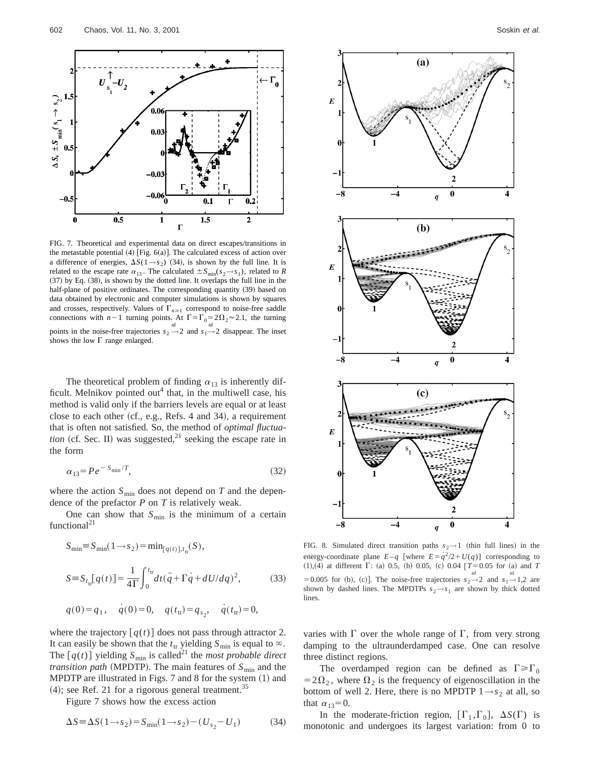

FIG. 7. Theoretical and experimental data on direct escapes/transitions in the metastable potential  $(4)$  [Fig. 6(a)]. The calculated excess of action over a difference of energies,  $\Delta S(1 \rightarrow s_2)$  (34), is shown by the full line. It is related to the escape rate  $\alpha_{13}$ . The calculated  $\pm S_{\min}(s_2 \rightarrow s_1)$ , related to *R*  $(37)$  by Eq.  $(38)$ , is shown by the dotted line. It overlaps the full line in the half-plane of positive ordinates. The corresponding quantity (39) based on data obtained by electronic and computer simulations is shown by squares and crosses, respectively. Values of  $\Gamma_{n\geq 1}$  correspond to noise-free saddle connections with  $n-1$  turning points. At  $\Gamma = \Gamma_0 = 2\Omega_2 \approx 2.1$ , the turning points in the noise-free trajectories  $s_2 \rightarrow 2$  and  $s_1 \rightarrow 2$  disappear. The inset shows the low  $\Gamma$  range enlarged.

The theoretical problem of finding  $\alpha_{13}$  is inherently difficult. Melnikov pointed out<sup>4</sup> that, in the multiwell case, his method is valid only if the barriers levels are equal or at least close to each other  $(cf., e.g., Refs. 4 and 34)$ , a requirement that is often not satisfied. So, the method of *optimal fluctuation* (cf. Sec. II) was suggested,<sup>21</sup> seeking the escape rate in the form

$$
\alpha_{13} = Pe^{-S_{\min}/T},\tag{32}
$$

where the action  $S_{\text{min}}$  does not depend on  $T$  and the dependence of the prefactor *P* on *T* is relatively weak.

One can show that  $S_{\text{min}}$  is the minimum of a certain functional<sup>21</sup>

$$
S_{\min} \equiv S_{\min}(1 \to s_2) = \min_{[q(t)], t_{\text{tr}}}(S),
$$
  
\n
$$
S \equiv S_{t_{\text{tr}}}[q(t)] = \frac{1}{4\Gamma} \int_0^{t_{\text{tr}}} dt (\ddot{q} + \Gamma \dot{q} + dU/dq)^2,
$$
 (33)

$$
q(0) = q_1
$$
,  $q(0) = 0$ ,  $q(ttr) = q_{s_2}$ ,  $q(ttr) = 0$ ,

where the trajectory  $\lceil q(t) \rceil$  does not pass through attractor 2. It can easily be shown that the  $t<sub>tr</sub>$  yielding  $S<sub>min</sub>$  is equal to  $\infty$ . The  $[q(t)]$  yielding  $S_{\text{min}}$  is called<sup>21</sup> the *most probable direct transition path* (MPDTP). The main features of  $S_{\text{min}}$  and the MPDTP are illustrated in Figs.  $7$  and  $8$  for the system  $(1)$  and  $(4)$ ; see Ref. 21 for a rigorous general treatment.<sup>35</sup>

Figure 7 shows how the excess action

$$
\Delta S \equiv \Delta S (1 \rightarrow s_2) = S_{\text{min}} (1 \rightarrow s_2) - (U_{s_2} - U_1) \tag{34}
$$



FIG. 8. Simulated direct transition paths  $s_2 \rightarrow 1$  (thin full lines) in the energy-coordinate plane  $E-q$  [where  $E=q^2/2+U(q)$ ] corresponding to  $(1),(4)$  at different  $\Gamma$ : (a) 0.5, (b) 0.05, (c) 0.04  $[T=0.05$  for (a) and *T* = 0.005 for (b), (c)]. The noise-free trajectories  $s_2 \rightarrow 2$  and  $s_1 \rightarrow 1,2$  are shown by dashed lines. The MPDTPs  $s_2 \rightarrow s_1$  are shown by thick dotted lines.

varies with  $\Gamma$  over the whole range of  $\Gamma$ , from very strong damping to the ultraunderdamped case. One can resolve three distinct regions.

The overdamped region can be defined as  $\Gamma \geq \Gamma_0$  $=2\Omega_2$ , where  $\Omega_2$  is the frequency of eigenoscillation in the bottom of well 2. Here, there is no MPDTP  $1 \rightarrow s_2$  at all, so that  $\alpha_{13}=0$ .

In the moderate-friction region,  $[\Gamma_1, \Gamma_0]$ ,  $\Delta S(\Gamma)$  is monotonic and undergoes its largest variation: from 0 to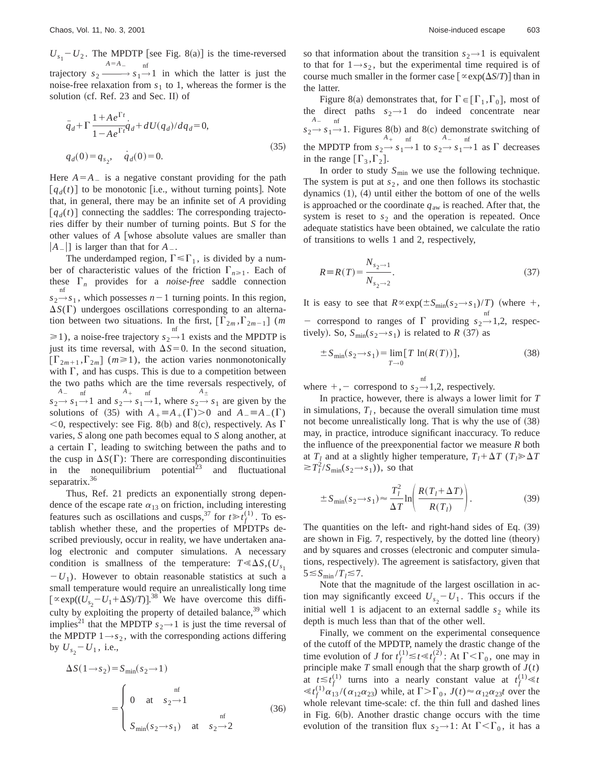$U_{s_1} - U_2$ . The MPDTP [see Fig. 8(a)] is the time-reversed trajectory *s*<sup>2</sup> *——*→  $A=$ <sup>A</sup><sub>-</sub>  $s_1 \rightarrow 1$  in which the latter is just the noise-free relaxation from  $s_1$  to 1, whereas the former is the solution (cf. Ref.  $23$  and Sec. II) of

$$
\ddot{q}_d + \Gamma \frac{1 + Ae^{\Gamma t}}{1 - Ae^{\Gamma t}} \dot{q}_d + dU(q_d)/dq_d = 0,
$$
  
\n
$$
q_d(0) = q_{s_2}, \quad \dot{q}_d(0) = 0.
$$
\n(35)

Here  $A = A_{\text{max}}$  is a negative constant providing for the path  $[q_d(t)]$  to be monotonic [i.e., without turning points]. Note that, in general, there may be an infinite set of *A* providing  $[q_d(t)]$  connecting the saddles: The corresponding trajectories differ by their number of turning points. But *S* for the other values of *A* [whose absolute values are smaller than  $|A_-\|$  is larger than that for  $A_-\$ .

The underdamped region,  $\Gamma \leq \Gamma_1$ , is divided by a number of characteristic values of the friction  $\Gamma_{n\geq 1}$ . Each of these  $\Gamma_n$  provides for a *noise-free* saddle connection  $s_2 \rightarrow s_1$ , which possesses *n* – 1 turning points. In this region,  $\Delta S(\Gamma)$  undergoes oscillations corresponding to an alternation between two situations. In the first,  $[\Gamma_{2m}, \Gamma_{2m-1}]$  (*m*  $\geq 1$ ), a noise-free trajectory  $s_2 \rightarrow 1$  exists and the MPDTP is just its time reversal, with  $\Delta S = 0$ . In the second situation,  $\left[\Gamma_{2m+1}, \Gamma_{2m}\right]$  ( $m \ge 1$ ), the action varies nonmonotonically with  $\Gamma$ , and has cusps. This is due to a competition between the two paths which are the time reversals respectively, of  $s_2 \rightarrow s_1 \rightarrow 1$  and  $s_2 \rightarrow s_1 \rightarrow 1$ , where  $s_2 \rightarrow s_1$  are given by the  $A_{-}$  nf  $A_+$  nf  $A_{\pm}$ solutions of (35) with  $A_+ \equiv A_+(\Gamma) > 0$  and  $A_- \equiv A_-(\Gamma)$  $<$ 0, respectively: see Fig. 8(b) and 8(c), respectively. As  $\Gamma$ varies, *S* along one path becomes equal to *S* along another, at a certain  $\Gamma$ , leading to switching between the paths and to the cusp in  $\Delta S(\Gamma)$ : There are corresponding discontinuities in the nonequilibrium potential $^{23}$  and fluctuational separatrix.<sup>36</sup>

Thus, Ref. 21 predicts an exponentially strong dependence of the escape rate  $\alpha_{13}$  on friction, including interesting features such as oscillations and cusps,<sup>37</sup> for  $t \geq t_f^{(1)}$ . To establish whether these, and the properties of MPDTPs described previously, occur in reality, we have undertaken analog electronic and computer simulations. A necessary condition is smallness of the temperature:  $T \ll \Delta S$ ,  $(U_{s_1})$  $-U_1$ ). However to obtain reasonable statistics at such a small temperature would require an unrealistically long time  $\left[\alpha \exp((U_{s_2} - U_1 + \Delta S)/T)\right]^{38}$  We have overcome this difficulty by exploiting the property of detailed balance,<sup>39</sup> which implies<sup>21</sup> that the MPDTP  $s_2 \rightarrow 1$  is just the time reversal of the MPDTP  $1 \rightarrow s_2$ , with the corresponding actions differing by  $U_{s_2} - U_1$ , i.e.,

$$
\Delta S(1 \to s_2) = S_{\min}(s_2 \to 1)
$$
  
= 
$$
\begin{cases} 0 & \text{at } s_2 \to 1 \\ S_{\min}(s_2 \to s_1) & \text{at } s_2 \to 2 \end{cases}
$$
 (36)

so that information about the transition  $s_2 \rightarrow 1$  is equivalent to that for  $1 \rightarrow s_2$ , but the experimental time required is of course much smaller in the former case  $\lceil \alpha \exp(\Delta S/T) \rceil$  than in the latter.

Figure 8(a) demonstrates that, for  $\Gamma \in [\Gamma_1, \Gamma_0]$ , most of the direct paths  $s_2 \rightarrow 1$  do indeed concentrate near  $s_2 \rightarrow$  $A_{-}$  $s_1 \stackrel{\text{nf}}{\rightarrow} 1$ . Figures 8(b) and 8(c) demonstrate switching of the MPDTP from  $s_2 \rightarrow$ *A*<sup>1</sup>  $s_1 \stackrel{\text{if}}{\rightarrow} 1$  to  $s_2 \stackrel{A}{\rightarrow}$  $A_{-}$  $s_1 \rightarrow 1$  as  $\Gamma$  decreases in the range  $[\Gamma_3, \Gamma_2]$ .

In order to study  $S_{\text{min}}$  we use the following technique. The system is put at  $s<sub>2</sub>$ , and one then follows its stochastic dynamics  $(1)$ ,  $(4)$  until either the bottom of one of the wells is approached or the coordinate  $q_{aw}$  is reached. After that, the system is reset to  $s_2$  and the operation is repeated. Once adequate statistics have been obtained, we calculate the ratio of transitions to wells 1 and 2, respectively,

$$
R \equiv R(T) = \frac{N_{s_2 \to 1}}{N_{s_2 \to 2}}.
$$
\n(37)

It is easy to see that  $R \propto \exp(\pm S_{\text{min}}(s_2 \rightarrow s_1)/T)$  (where  $+$ , - correspond to ranges of  $\Gamma$  providing  $s_2 \rightarrow 1,2$ , respectively). So,  $S_{\text{min}}(s_2 \rightarrow s_1)$  is related to *R* (37) as

$$
\pm S_{\min}(s_2 \to s_1) = \lim_{T \to 0} [T \ln(R(T))], \tag{38}
$$

where  $+,-$  correspond to  $s_2 \rightarrow 1,2$ , respectively.

In practice, however, there is always a lower limit for *T* in simulations,  $T_l$ , because the overall simulation time must not become unrealistically long. That is why the use of  $(38)$ may, in practice, introduce significant inaccuracy. To reduce the influence of the preexponential factor we measure *R* both at  $T_l$  and at a slightly higher temperature,  $T_l + \Delta T$  ( $T_l \gg \Delta T$  $\gtrsim T_l^2/S_{\text{min}}(s_2 \rightarrow s_1)$ , so that

$$
\pm S_{\min}(s_2 \to s_1) \approx \frac{T_l^2}{\Delta T} \ln \left( \frac{R(T_l + \Delta T)}{R(T_l)} \right). \tag{39}
$$

The quantities on the left- and right-hand sides of Eq.  $(39)$ are shown in Fig. 7, respectively, by the dotted line  $(theory)$ and by squares and crosses (electronic and computer simulations, respectively). The agreement is satisfactory, given that  $5 \leq S_{\min}/T_l \leq 7$ .

Note that the magnitude of the largest oscillation in action may significantly exceed  $U_{s_2} - U_1$ . This occurs if the initial well 1 is adjacent to an external saddle  $s<sub>2</sub>$  while its depth is much less than that of the other well.

Finally, we comment on the experimental consequence of the cutoff of the MPDTP, namely the drastic change of the time evolution of *J* for  $t_f^{(1)} \le t \le t_f^{(2)}$ : At  $\Gamma < \Gamma_0$ , one may in principle make  $T$  small enough that the sharp growth of  $J(t)$ at  $t \leq t_f^{(1)}$  turns into a nearly constant value at  $t_f^{(1)} \ll t$  $\ll t_f^{(1)} \alpha_{13} / (\alpha_{12} \alpha_{23})$  while, at  $\Gamma > \Gamma_0$ ,  $J(t) \approx \alpha_{12} \alpha_{23} t$  over the whole relevant time-scale: cf. the thin full and dashed lines in Fig.  $6(b)$ . Another drastic change occurs with the time evolution of the transition flux  $s_2 \rightarrow 1$ : At  $\Gamma < \Gamma_0$ , it has a